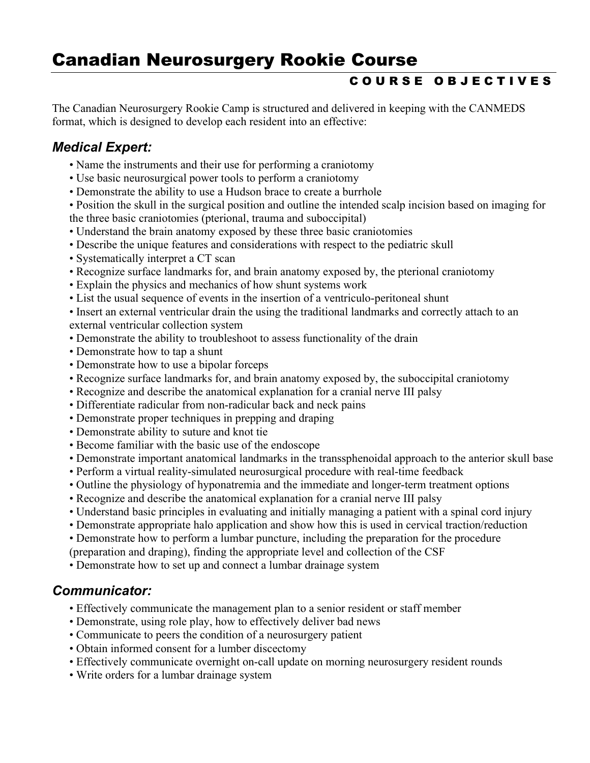# Canadian Neurosurgery Rookie Course

# C O U R S E O B J E C T I V E S

The Canadian Neurosurgery Rookie Camp is structured and delivered in keeping with the CANMEDS format, which is designed to develop each resident into an effective:

# Medical Expert:

- Name the instruments and their use for performing a craniotomy
- Use basic neurosurgical power tools to perform a craniotomy
- Demonstrate the ability to use a Hudson brace to create a burrhole
- Position the skull in the surgical position and outline the intended scalp incision based on imaging for the three basic craniotomies (pterional, trauma and suboccipital)
- Understand the brain anatomy exposed by these three basic craniotomies
- Describe the unique features and considerations with respect to the pediatric skull
- Systematically interpret a CT scan
- Recognize surface landmarks for, and brain anatomy exposed by, the pterional craniotomy
- Explain the physics and mechanics of how shunt systems work
- List the usual sequence of events in the insertion of a ventriculo-peritoneal shunt

 • Insert an external ventricular drain the using the traditional landmarks and correctly attach to an external ventricular collection system

- Demonstrate the ability to troubleshoot to assess functionality of the drain
- Demonstrate how to tap a shunt
- Demonstrate how to use a bipolar forceps
- Recognize surface landmarks for, and brain anatomy exposed by, the suboccipital craniotomy
- Recognize and describe the anatomical explanation for a cranial nerve III palsy
- Differentiate radicular from non-radicular back and neck pains
- Demonstrate proper techniques in prepping and draping
- Demonstrate ability to suture and knot tie
- Become familiar with the basic use of the endoscope
- Demonstrate important anatomical landmarks in the transsphenoidal approach to the anterior skull base
- Perform a virtual reality-simulated neurosurgical procedure with real-time feedback
- Outline the physiology of hyponatremia and the immediate and longer-term treatment options
- Recognize and describe the anatomical explanation for a cranial nerve III palsy
- Understand basic principles in evaluating and initially managing a patient with a spinal cord injury
- Demonstrate appropriate halo application and show how this is used in cervical traction/reduction
- Demonstrate how to perform a lumbar puncture, including the preparation for the procedure
- (preparation and draping), finding the appropriate level and collection of the CSF
- Demonstrate how to set up and connect a lumbar drainage system

#### Communicator:

- Effectively communicate the management plan to a senior resident or staff member
- Demonstrate, using role play, how to effectively deliver bad news
- Communicate to peers the condition of a neurosurgery patient
- Obtain informed consent for a lumber discectomy
- Effectively communicate overnight on-call update on morning neurosurgery resident rounds
- Write orders for a lumbar drainage system